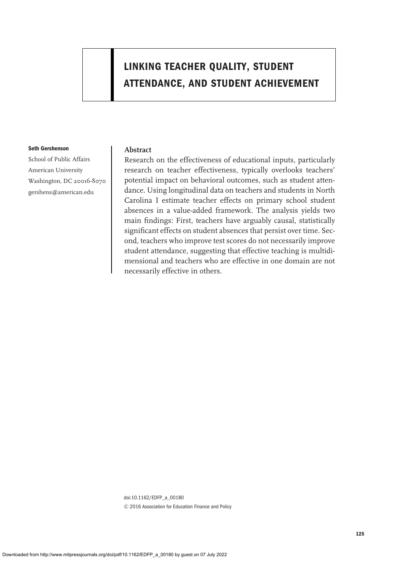# **LINKING TEACHER QUALITY, STUDENT ATTENDANCE, AND STUDENT ACHIEVEMENT**

#### **Seth Gershenson**

School of Public Affairs American University Washington, DC 20016-8070 gershens@american.edu

# **Abstract**

Research on the effectiveness of educational inputs, particularly research on teacher effectiveness, typically overlooks teachers' potential impact on behavioral outcomes, such as student attendance. Using longitudinal data on teachers and students in North Carolina I estimate teacher effects on primary school student absences in a value-added framework. The analysis yields two main findings: First, teachers have arguably causal, statistically significant effects on student absences that persist over time. Second, teachers who improve test scores do not necessarily improve student attendance, suggesting that effective teaching is multidimensional and teachers who are effective in one domain are not necessarily effective in others.

doi:10.1162/EDFP\_a\_00180  $© 2016 Association for Education Finance and Policy$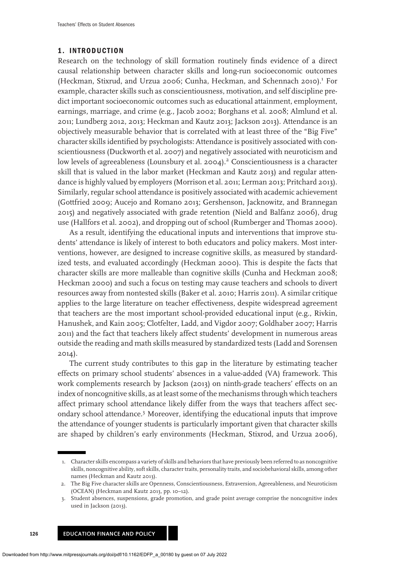# **1. INTRODUCTION**

Research on the technology of skill formation routinely finds evidence of a direct causal relationship between character skills and long-run socioeconomic outcomes (Heckman, Stixrud, and Urzua 2006; Cunha, Heckman, and Schennach 2010).<sup>1</sup> For example, character skills such as conscientiousness, motivation, and self discipline predict important socioeconomic outcomes such as educational attainment, employment, earnings, marriage, and crime (e.g., Jacob 2002; Borghans et al. 2008; Almlund et al. 2011; Lundberg 2012, 2013; Heckman and Kautz 2013; Jackson 2013). Attendance is an objectively measurable behavior that is correlated with at least three of the "Big Five" character skills identified by psychologists: Attendance is positively associated with conscientiousness (Duckworth et al. 2007) and negatively associated with neuroticism and low levels of agreeableness (Lounsbury et al. 2004).<sup>2</sup> Conscientiousness is a character skill that is valued in the labor market (Heckman and Kautz 2013) and regular attendance is highly valued by employers (Morrison et al. 2011; Lerman 2013; Pritchard 2013). Similarly, regular school attendance is positively associated with academic achievement (Gottfried 2009; Aucejo and Romano 2013; Gershenson, Jacknowitz, and Brannegan 2015) and negatively associated with grade retention (Nield and Balfanz 2006), drug use (Hallfors et al. 2002), and dropping out of school (Rumberger and Thomas 2000).

As a result, identifying the educational inputs and interventions that improve students' attendance is likely of interest to both educators and policy makers. Most interventions, however, are designed to increase cognitive skills, as measured by standardized tests, and evaluated accordingly (Heckman 2000). This is despite the facts that character skills are more malleable than cognitive skills (Cunha and Heckman 2008; Heckman 2000) and such a focus on testing may cause teachers and schools to divert resources away from nontested skills (Baker et al. 2010; Harris 2011). A similar critique applies to the large literature on teacher effectiveness, despite widespread agreement that teachers are the most important school-provided educational input (e.g., Rivkin, Hanushek, and Kain 2005; Clotfelter, Ladd, and Vigdor 2007; Goldhaber 2007; Harris 2011) and the fact that teachers likely affect students' development in numerous areas outside the reading and math skills measured by standardized tests (Ladd and Sorensen 2014).

The current study contributes to this gap in the literature by estimating teacher effects on primary school students' absences in a value-added (VA) framework. This work complements research by Jackson (2013) on ninth-grade teachers' effects on an index of noncognitive skills, as at least some of the mechanisms through which teachers affect primary school attendance likely differ from the ways that teachers affect secondary school attendance.3 Moreover, identifying the educational inputs that improve the attendance of younger students is particularly important given that character skills are shaped by children's early environments (Heckman, Stixrod, and Urzua 2006),

<sup>1</sup>. Character skills encompass a variety of skills and behaviors that have previously been referred to as noncognitive skills, noncognitive ability, soft skills, character traits, personality traits, and sociobehavioral skills, among other names (Heckman and Kautz 2013).

<sup>2.</sup> The Big Five character skills are Openness, Conscientiousness, Extraversion, Agreeableness, and Neuroticism (OCEAN) (Heckman and Kautz 2013, pp. 10–12).

<sup>3.</sup> Student absences, suspensions, grade promotion, and grade point average comprise the noncognitive index used in Jackson (2013).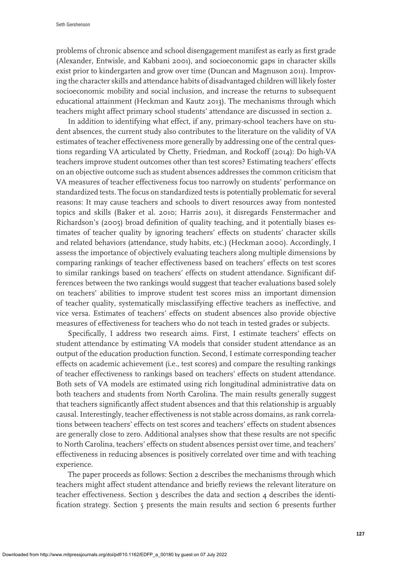problems of chronic absence and school disengagement manifest as early as first grade (Alexander, Entwisle, and Kabbani 2001), and socioeconomic gaps in character skills exist prior to kindergarten and grow over time (Duncan and Magnuson 2011). Improving the character skills and attendance habits of disadvantaged children will likely foster socioeconomic mobility and social inclusion, and increase the returns to subsequent educational attainment (Heckman and Kautz 2013). The mechanisms through which teachers might affect primary school students' attendance are discussed in section 2.

In addition to identifying what effect, if any, primary-school teachers have on student absences, the current study also contributes to the literature on the validity of VA estimates of teacher effectiveness more generally by addressing one of the central questions regarding VA articulated by Chetty, Friedman, and Rockoff (2014): Do high-VA teachers improve student outcomes other than test scores? Estimating teachers' effects on an objective outcome such as student absences addresses the common criticism that VA measures of teacher effectiveness focus too narrowly on students' performance on standardized tests. The focus on standardized tests is potentially problematic for several reasons: It may cause teachers and schools to divert resources away from nontested topics and skills (Baker et al. 2010; Harris 2011), it disregards Fenstermacher and Richardson's (2005) broad definition of quality teaching, and it potentially biases estimates of teacher quality by ignoring teachers' effects on students' character skills and related behaviors (attendance, study habits, etc.) (Heckman 2000). Accordingly, I assess the importance of objectively evaluating teachers along multiple dimensions by comparing rankings of teacher effectiveness based on teachers' effects on test scores to similar rankings based on teachers' effects on student attendance. Significant differences between the two rankings would suggest that teacher evaluations based solely on teachers' abilities to improve student test scores miss an important dimension of teacher quality, systematically misclassifying effective teachers as ineffective, and vice versa. Estimates of teachers' effects on student absences also provide objective measures of effectiveness for teachers who do not teach in tested grades or subjects.

Specifically, I address two research aims. First, I estimate teachers' effects on student attendance by estimating VA models that consider student attendance as an output of the education production function. Second, I estimate corresponding teacher effects on academic achievement (i.e., test scores) and compare the resulting rankings of teacher effectiveness to rankings based on teachers' effects on student attendance. Both sets of VA models are estimated using rich longitudinal administrative data on both teachers and students from North Carolina. The main results generally suggest that teachers significantly affect student absences and that this relationship is arguably causal. Interestingly, teacher effectiveness is not stable across domains, as rank correlations between teachers' effects on test scores and teachers' effects on student absences are generally close to zero. Additional analyses show that these results are not specific to North Carolina, teachers' effects on student absences persist over time, and teachers' effectiveness in reducing absences is positively correlated over time and with teaching experience.

The paper proceeds as follows: Section 2 describes the mechanisms through which teachers might affect student attendance and briefly reviews the relevant literature on teacher effectiveness. Section 3 describes the data and section  $\mu$  describes the identification strategy. Section 5 presents the main results and section 6 presents further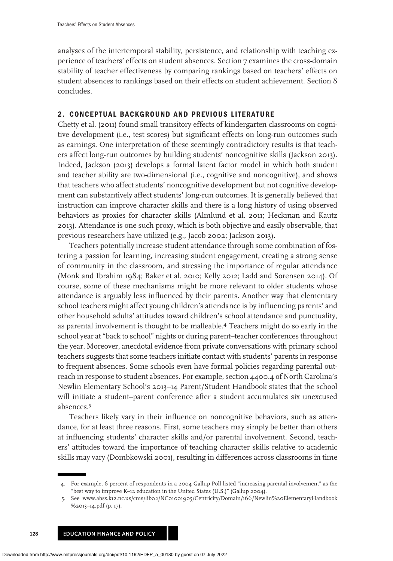analyses of the intertemporal stability, persistence, and relationship with teaching experience of teachers' effects on student absences. Section 7 examines the cross-domain stability of teacher effectiveness by comparing rankings based on teachers' effects on student absences to rankings based on their effects on student achievement. Section 8 concludes.

# **2. CONCEPTUAL BACKGROUND AND PREVIOUS LITERATURE**

Chetty et al. (2011) found small transitory effects of kindergarten classrooms on cognitive development (i.e., test scores) but significant effects on long-run outcomes such as earnings. One interpretation of these seemingly contradictory results is that teachers affect long-run outcomes by building students' noncognitive skills (Jackson 2013). Indeed, Jackson (2013) develops a formal latent factor model in which both student and teacher ability are two-dimensional (i.e., cognitive and noncognitive), and shows that teachers who affect students' noncognitive development but not cognitive development can substantively affect students' long-run outcomes. It is generally believed that instruction can improve character skills and there is a long history of using observed behaviors as proxies for character skills (Almlund et al. 2011; Heckman and Kautz 2013). Attendance is one such proxy, which is both objective and easily observable, that previous researchers have utilized (e.g., Jacob 2002; Jackson 2013).

Teachers potentially increase student attendance through some combination of fostering a passion for learning, increasing student engagement, creating a strong sense of community in the classroom, and stressing the importance of regular attendance (Monk and Ibrahim 1984; Baker et al. 2010; Kelly 2012; Ladd and Sorensen 2014). Of course, some of these mechanisms might be more relevant to older students whose attendance is arguably less influenced by their parents. Another way that elementary school teachers might affect young children's attendance is by influencing parents' and other household adults' attitudes toward children's school attendance and punctuality, as parental involvement is thought to be malleable.4 Teachers might do so early in the school year at "back to school" nights or during parent–teacher conferences throughout the year. Moreover, anecdotal evidence from private conversations with primary school teachers suggests that some teachers initiate contact with students' parents in response to frequent absences. Some schools even have formal policies regarding parental outreach in response to student absences. For example, section 4400.4 of North Carolina's Newlin Elementary School's 2013–14 Parent/Student Handbook states that the school will initiate a student–parent conference after a student accumulates six unexcused absences.<sup>5</sup>

Teachers likely vary in their influence on noncognitive behaviors, such as attendance, for at least three reasons. First, some teachers may simply be better than others at influencing students' character skills and/or parental involvement. Second, teachers' attitudes toward the importance of teaching character skills relative to academic skills may vary (Dombkowski 2001), resulting in differences across classrooms in time

<sup>4.</sup> For example, 6 percent of respondents in a 2004 Gallup Poll listed "increasing parental involvement" as the "best way to improve K–12 education in the United States (U.S.)" (Gallup 2004).

<sup>5.</sup> See www.abss.k12.nc.us/cms/lib02/NC01001905/Centricity/Domain/166/Newlin%20ElementaryHandbook %2013–14.pdf (p. 17).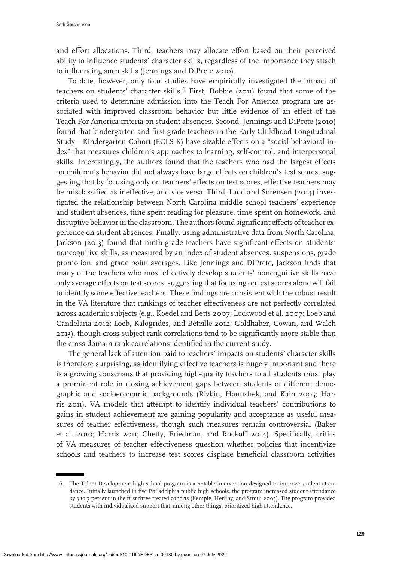Seth Gershenson

and effort allocations. Third, teachers may allocate effort based on their perceived ability to influence students' character skills, regardless of the importance they attach to influencing such skills (Jennings and DiPrete 2010).

To date, however, only four studies have empirically investigated the impact of teachers on students' character skills.<sup>6</sup> First, Dobbie (2011) found that some of the criteria used to determine admission into the Teach For America program are associated with improved classroom behavior but little evidence of an effect of the Teach For America criteria on student absences. Second, Jennings and DiPrete (2010) found that kindergarten and first-grade teachers in the Early Childhood Longitudinal Study—Kindergarten Cohort (ECLS-K) have sizable effects on a "social-behavioral index" that measures children's approaches to learning, self-control, and interpersonal skills. Interestingly, the authors found that the teachers who had the largest effects on children's behavior did not always have large effects on children's test scores, suggesting that by focusing only on teachers' effects on test scores, effective teachers may be misclassified as ineffective, and vice versa. Third, Ladd and Sorensen (2014) investigated the relationship between North Carolina middle school teachers' experience and student absences, time spent reading for pleasure, time spent on homework, and disruptive behavior in the classroom. The authors found significant effects of teacher experience on student absences. Finally, using administrative data from North Carolina, Jackson (2013) found that ninth-grade teachers have significant effects on students' noncognitive skills, as measured by an index of student absences, suspensions, grade promotion, and grade point averages. Like Jennings and DiPrete, Jackson finds that many of the teachers who most effectively develop students' noncognitive skills have only average effects on test scores, suggesting that focusing on test scores alone will fail to identify some effective teachers. These findings are consistent with the robust result in the VA literature that rankings of teacher effectiveness are not perfectly correlated across academic subjects (e.g., Koedel and Betts 2007; Lockwood et al. 2007; Loeb and Candelaria 2012; Loeb, Kalogrides, and Béteille 2012; Goldhaber, Cowan, and Walch 2013), though cross-subject rank correlations tend to be significantly more stable than the cross-domain rank correlations identified in the current study.

The general lack of attention paid to teachers' impacts on students' character skills is therefore surprising, as identifying effective teachers is hugely important and there is a growing consensus that providing high-quality teachers to all students must play a prominent role in closing achievement gaps between students of different demographic and socioeconomic backgrounds (Rivkin, Hanushek, and Kain 2005; Harris 2011). VA models that attempt to identify individual teachers' contributions to gains in student achievement are gaining popularity and acceptance as useful measures of teacher effectiveness, though such measures remain controversial (Baker et al. 2010; Harris 2011; Chetty, Friedman, and Rockoff 2014). Specifically, critics of VA measures of teacher effectiveness question whether policies that incentivize schools and teachers to increase test scores displace beneficial classroom activities

<sup>6.</sup> The Talent Development high school program is a notable intervention designed to improve student attendance. Initially launched in five Philadelphia public high schools, the program increased student attendance by 3 to 7 percent in the first three treated cohorts (Kemple, Herlihy, and Smith 2005). The program provided students with individualized support that, among other things, prioritized high attendance.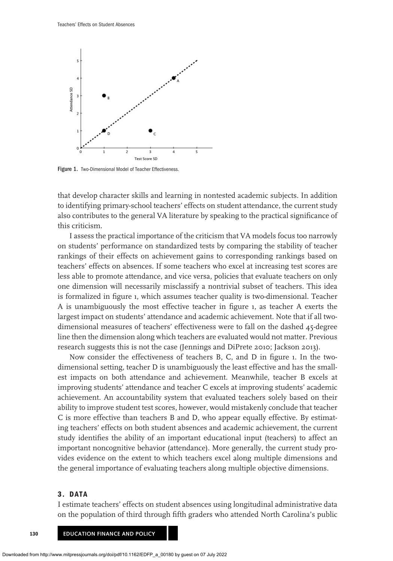

Figure 1. Two-Dimensional Model of Teacher Effectiveness.

that develop character skills and learning in nontested academic subjects. In addition to identifying primary-school teachers' effects on student attendance, the current study also contributes to the general VA literature by speaking to the practical significance of this criticism.

I assess the practical importance of the criticism that VA models focus too narrowly on students' performance on standardized tests by comparing the stability of teacher rankings of their effects on achievement gains to corresponding rankings based on teachers' effects on absences. If some teachers who excel at increasing test scores are less able to promote attendance, and vice versa, policies that evaluate teachers on only one dimension will necessarily misclassify a nontrivial subset of teachers. This idea is formalized in figure 1, which assumes teacher quality is two-dimensional. Teacher A is unambiguously the most effective teacher in figure 1, as teacher A exerts the largest impact on students' attendance and academic achievement. Note that if all twodimensional measures of teachers' effectiveness were to fall on the dashed 45-degree line then the dimension along which teachers are evaluated would not matter. Previous research suggests this is not the case (Jennings and DiPrete 2010; Jackson 2013).

Now consider the effectiveness of teachers B, C, and D in figure 1. In the twodimensional setting, teacher D is unambiguously the least effective and has the smallest impacts on both attendance and achievement. Meanwhile, teacher B excels at improving students' attendance and teacher C excels at improving students' academic achievement. An accountability system that evaluated teachers solely based on their ability to improve student test scores, however, would mistakenly conclude that teacher C is more effective than teachers B and D, who appear equally effective. By estimating teachers' effects on both student absences and academic achievement, the current study identifies the ability of an important educational input (teachers) to affect an important noncognitive behavior (attendance). More generally, the current study provides evidence on the extent to which teachers excel along multiple dimensions and the general importance of evaluating teachers along multiple objective dimensions.

## **3. DATA**

I estimate teachers' effects on student absences using longitudinal administrative data on the population of third through fifth graders who attended North Carolina's public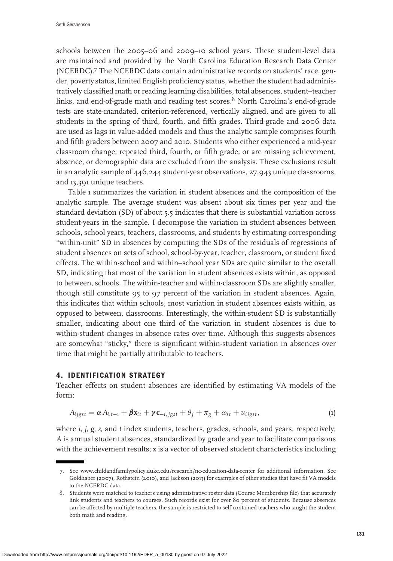schools between the 2005–06 and 2009–10 school years. These student-level data are maintained and provided by the North Carolina Education Research Data Center (NCERDC).<sup>7</sup> The NCERDC data contain administrative records on students' race, gender, poverty status, limited English proficiency status, whether the student had administratively classified math or reading learning disabilities, total absences, student–teacher links, and end-of-grade math and reading test scores.<sup>8</sup> North Carolina's end-of-grade tests are state-mandated, criterion-referenced, vertically aligned, and are given to all students in the spring of third, fourth, and fifth grades. Third-grade and 2006 data are used as lags in value-added models and thus the analytic sample comprises fourth and fifth graders between 2007 and 2010. Students who either experienced a mid-year classroom change; repeated third, fourth, or fifth grade; or are missing achievement, absence, or demographic data are excluded from the analysis. These exclusions result in an analytic sample of 446,244 student-year observations, 27,943 unique classrooms, and 13,391 unique teachers.

Table 1 summarizes the variation in student absences and the composition of the analytic sample. The average student was absent about six times per year and the standard deviation (SD) of about 5.5 indicates that there is substantial variation across student-years in the sample. I decompose the variation in student absences between schools, school years, teachers, classrooms, and students by estimating corresponding "within-unit" SD in absences by computing the SDs of the residuals of regressions of student absences on sets of school, school-by-year, teacher, classroom, or student fixed effects. The within-school and within–school year SDs are quite similar to the overall SD, indicating that most of the variation in student absences exists within, as opposed to between, schools. The within-teacher and within-classroom SDs are slightly smaller, though still constitute 95 to 97 percent of the variation in student absences. Again, this indicates that within schools, most variation in student absences exists within, as opposed to between, classrooms. Interestingly, the within-student SD is substantially smaller, indicating about one third of the variation in student absences is due to within-student changes in absence rates over time. Although this suggests absences are somewhat "sticky," there is significant within-student variation in absences over time that might be partially attributable to teachers.

# **4. IDENTIFICATION STRATEGY**

Teacher effects on student absences are identified by estimating VA models of the form:

$$
A_{ijgst} = \alpha A_{i,t-1} + \beta \mathbf{x}_{it} + \gamma \mathbf{c}_{-i,jgst} + \theta_j + \pi_g + \omega_{st} + u_{ijgst}, \qquad (1)
$$

where *i*, *j*, *g*, *s*, and *t* index students, teachers, grades, schools, and years, respectively; *A* is annual student absences, standardized by grade and year to facilitate comparisons with the achievement results; **x** is a vector of observed student characteristics including

<sup>7.</sup> See www.childandfamilypolicy.duke.edu/research/nc-education-data-center for additional information. See Goldhaber (2007), Rothstein (2010), and Jackson (2013) for examples of other studies that have fit VA models to the NCERDC data.

<sup>8.</sup> Students were matched to teachers using administrative roster data (Course Membership file) that accurately link students and teachers to courses. Such records exist for over 80 percent of students. Because absences can be affected by multiple teachers, the sample is restricted to self-contained teachers who taught the student both math and reading.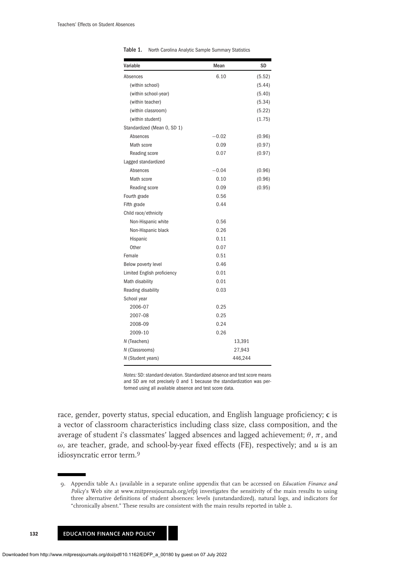| Variable                    | Mean    |         | SD     |
|-----------------------------|---------|---------|--------|
| Absences                    | 6.10    |         | (5.52) |
| (within school)             |         |         | (5.44) |
| (within school-year)        |         |         | (5.40) |
| (within teacher)            |         |         | (5.34) |
| (within classroom)          |         |         | (5.22) |
| (within student)            |         |         | (1.75) |
| Standardized (Mean 0, SD 1) |         |         |        |
| Absences                    | $-0.02$ |         | (0.96) |
| Math score                  | 0.09    |         | (0.97) |
| Reading score               | 0.07    |         | (0.97) |
| Lagged standardized         |         |         |        |
| Absences                    | $-0.04$ |         | (0.96) |
| Math score                  | 0.10    |         | (0.96) |
| Reading score               | 0.09    |         | (0.95) |
| Fourth grade                | 0.56    |         |        |
| Fifth grade                 | 0.44    |         |        |
| Child race/ethnicity        |         |         |        |
| Non-Hispanic white          | 0.56    |         |        |
| Non-Hispanic black          | 0.26    |         |        |
| Hispanic                    | 0.11    |         |        |
| Other                       | 0.07    |         |        |
| Female                      | 0.51    |         |        |
| Below poverty level         | 0.46    |         |        |
| Limited English proficiency | 0.01    |         |        |
| Math disability             | 0.01    |         |        |
| Reading disability          | 0.03    |         |        |
| School year                 |         |         |        |
| 2006-07                     | 0.25    |         |        |
| 2007-08                     | 0.25    |         |        |
| 2008-09                     | 0.24    |         |        |
| 2009-10                     | 0.26    |         |        |
| N (Teachers)                |         | 13,391  |        |
| N (Classrooms)              |         | 27,943  |        |
| N (Student years)           |         | 446,244 |        |

Table 1. North Carolina Analytic Sample Summary Statistics

*Notes:* SD: standard deviation. Standardized absence and test score means and SD are not precisely 0 and 1 because the standardization was performed using all available absence and test score data.

race, gender, poverty status, special education, and English language proficiency; **c** is a vector of classroom characteristics including class size, class composition, and the average of student *i*'s classmates' lagged absences and lagged achievement;  $\theta$ ,  $\pi$ , and ω, are teacher, grade, and school-by-year fixed effects (FE), respectively; and *u* is an idiosyncratic error term.9

<sup>9.</sup> Appendix table A.1 (available in a separate online appendix that can be accessed on *Education Finance and Policy*'s Web site at www.mitpressjournals.org/efp) investigates the sensitivity of the main results to using three alternative definitions of student absences: levels (unstandardized), natural logs, and indicators for "chronically absent." These results are consistent with the main results reported in table 2.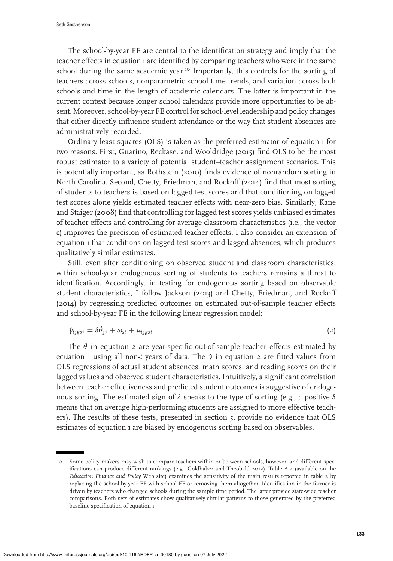The school-by-year FE are central to the identification strategy and imply that the teacher effects in equation 1 are identified by comparing teachers who were in the same school during the same academic year.<sup>10</sup> Importantly, this controls for the sorting of teachers across schools, nonparametric school time trends, and variation across both schools and time in the length of academic calendars. The latter is important in the current context because longer school calendars provide more opportunities to be absent. Moreover, school-by-year FE control for school-level leadership and policy changes that either directly influence student attendance or the way that student absences are administratively recorded.

Ordinary least squares (OLS) is taken as the preferred estimator of equation 1 for two reasons. First, Guarino, Reckase, and Wooldridge (2015) find OLS to be the most robust estimator to a variety of potential student–teacher assignment scenarios. This is potentially important, as Rothstein (2010) finds evidence of nonrandom sorting in North Carolina. Second, Chetty, Friedman, and Rockoff (2014) find that most sorting of students to teachers is based on lagged test scores and that conditioning on lagged test scores alone yields estimated teacher effects with near-zero bias. Similarly, Kane and Staiger (2008) find that controlling for lagged test scores yields unbiased estimates of teacher effects and controlling for average classroom characteristics (i.e., the vector **c**) improves the precision of estimated teacher effects. I also consider an extension of equation 1 that conditions on lagged test scores and lagged absences, which produces qualitatively similar estimates.

Still, even after conditioning on observed student and classroom characteristics, within school-year endogenous sorting of students to teachers remains a threat to identification. Accordingly, in testing for endogenous sorting based on observable student characteristics, I follow Jackson (2013) and Chetty, Friedman, and Rockoff (2014) by regressing predicted outcomes on estimated out-of-sample teacher effects and school-by-year FE in the following linear regression model:

$$
\hat{y}_{ijgst} = \delta\hat{\theta}_{jt} + \omega_{st} + u_{ijgst}.\tag{2}
$$

The  $\hat{\theta}$  in equation 2 are year-specific out-of-sample teacher effects estimated by equation 1 using all non-*t* years of data. The  $\hat{y}$  in equation 2 are fitted values from OLS regressions of actual student absences, math scores, and reading scores on their lagged values and observed student characteristics. Intuitively, a significant correlation between teacher effectiveness and predicted student outcomes is suggestive of endogenous sorting. The estimated sign of  $\delta$  speaks to the type of sorting (e.g., a positive  $\delta$ means that on average high-performing students are assigned to more effective teachers). The results of these tests, presented in section 5, provide no evidence that OLS estimates of equation 1 are biased by endogenous sorting based on observables.

<sup>1</sup>0. Some policy makers may wish to compare teachers within or between schools, however, and different specifications can produce different rankings (e.g., Goldhaber and Theobald 2012). Table A.2 (available on the *Education Finance and Policy* Web site) examines the sensitivity of the main results reported in table 2 by replacing the school-by-year FE with school FE or removing them altogether. Identification in the former is driven by teachers who changed schools during the sample time period. The latter provide state-wide teacher comparisons. Both sets of estimates show qualitatively similar patterns to those generated by the preferred baseline specification of equation 1.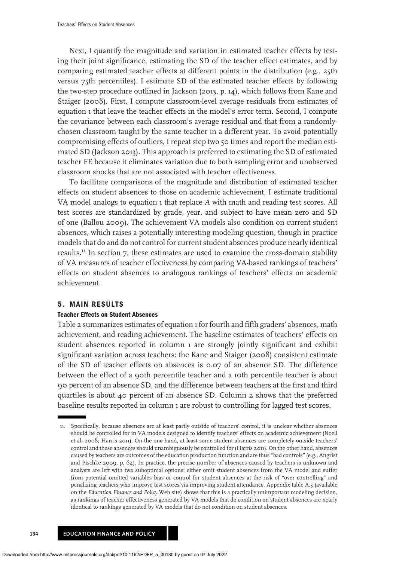Next, I quantify the magnitude and variation in estimated teacher effects by testing their joint significance, estimating the SD of the teacher effect estimates, and by comparing estimated teacher effects at different points in the distribution (e.g., 25th versus 75th percentiles). I estimate SD of the estimated teacher effects by following the two-step procedure outlined in Jackson (2013, p. 14), which follows from Kane and Staiger (2008). First, I compute classroom-level average residuals from estimates of equation 1 that leave the teacher effects in the model's error term. Second, I compute the covariance between each classroom's average residual and that from a randomlychosen classroom taught by the same teacher in a different year. To avoid potentially compromising effects of outliers, I repeat step two 50 times and report the median estimated SD (Jackson 2013). This approach is preferred to estimating the SD of estimated teacher FE because it eliminates variation due to both sampling error and unobserved classroom shocks that are not associated with teacher effectiveness.

To facilitate comparisons of the magnitude and distribution of estimated teacher effects on student absences to those on academic achievement, I estimate traditional VA model analogs to equation 1 that replace *A* with math and reading test scores. All test scores are standardized by grade, year, and subject to have mean zero and SD of one (Ballou 2009). The achievement VA models also condition on current student absences, which raises a potentially interesting modeling question, though in practice models that do and do not control for current student absences produce nearly identical results.<sup>11</sup> In section  $7$ , these estimates are used to examine the cross-domain stability of VA measures of teacher effectiveness by comparing VA-based rankings of teachers' effects on student absences to analogous rankings of teachers' effects on academic achievement.

# **5. MAIN RESULTS**

# **Teacher Effects on Student Absences**

Table 2 summarizes estimates of equation 1 for fourth and fifth graders' absences, math achievement, and reading achievement. The baseline estimates of teachers' effects on student absences reported in column 1 are strongly jointly significant and exhibit significant variation across teachers: the Kane and Staiger (2008) consistent estimate of the SD of teacher effects on absences is 0.07 of an absence SD. The difference between the effect of a 90th percentile teacher and a 10th percentile teacher is about 90 percent of an absence SD, and the difference between teachers at the first and third quartiles is about 40 percent of an absence SD. Column 2 shows that the preferred baseline results reported in column 1 are robust to controlling for lagged test scores.

<sup>11</sup>. Specifically, because absences are at least partly outside of teachers' control, it is unclear whether absences should be controlled for in VA models designed to identify teachers' effects on academic achievement (Noell et al. 2008; Harris 2011). On the one hand, at least some student absences are completely outside teachers' control and these absences should unambiguously be controlled for (Harris 2011). On the other hand, absences caused by teachers are outcomes of the education production function and are thus "bad controls" (e.g., Angrist and Pischke 2009, p. 64). In practice, the precise number of absences caused by teachers is unknown and analysts are left with two suboptimal options: either omit student absences from the VA model and suffer from potential omitted variables bias or control for student absences at the risk of "over controlling" and penalizing teachers who improve test scores via improving student attendance. Appendix table A.3 (available on the *Education Finance and Policy* Web site) shows that this is a practically unimportant modeling decision, as rankings of teacher effectiveness generated by VA models that do condition on student absences are nearly identical to rankings generated by VA models that do not condition on student absences.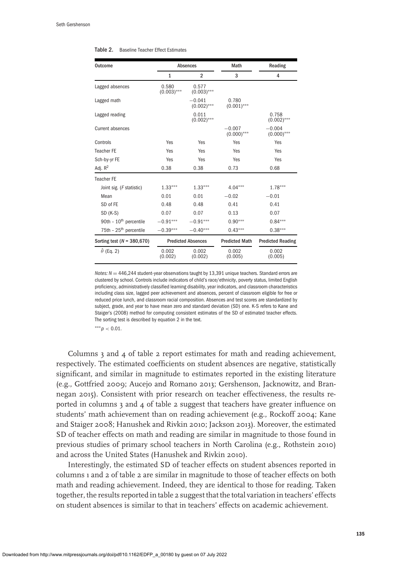| Outcome                            | <b>Absences</b>           |                           | Math                      | Reading                   |  |
|------------------------------------|---------------------------|---------------------------|---------------------------|---------------------------|--|
|                                    | $\mathbf{1}$              | $\overline{2}$            | 3                         | 4                         |  |
| Lagged absences                    | 0.580<br>$(0.003)$ ***    | 0.577<br>$(0.003)$ ***    |                           |                           |  |
| Lagged math                        |                           | $-0.041$<br>$(0.002)$ *** | 0.780<br>$(0.001)$ ***    |                           |  |
| Lagged reading                     |                           | 0.011<br>$(0.002)$ ***    |                           | 0.758<br>$(0.002)$ ***    |  |
| Current absences                   |                           |                           | $-0.007$<br>$(0.000)$ *** | $-0.004$<br>$(0.000)$ *** |  |
| Controls                           | Yes                       | Yes                       | Yes                       | Yes                       |  |
| <b>Teacher FE</b>                  | Yes                       | Yes                       | Yes                       | Yes                       |  |
| Sch-by-yr FE                       | Yes                       | <b>Yes</b>                | Yes                       | Yes                       |  |
| Adj. $R^2$                         | 0.38                      | 0.38                      | 0.73                      | 0.68                      |  |
| <b>Teacher FE</b>                  |                           |                           |                           |                           |  |
| Joint sig. (F statistic)           | $1.33***$                 | $1.33***$                 | $4.04***$                 | $1.78***$                 |  |
| Mean                               | 0.01                      | 0.01                      | $-0.02$                   | $-0.01$                   |  |
| SD of FE                           | 0.48                      | 0.48                      | 0.41                      | 0.41                      |  |
| $SD(K-S)$                          | 0.07                      | 0.07                      | 0.13                      | 0.07                      |  |
| 90th - $10th$ percentile           | $-0.91***$                | $-0.91***$                | $0.90***$                 | $0.84***$                 |  |
| 75th - 25 <sup>th</sup> percentile | $-0.39***$                | $-0.40***$                | $0.43***$                 | $0.38***$                 |  |
| Sorting test ( $N = 380,670$ )     | <b>Predicted Absences</b> |                           | <b>Predicted Math</b>     | <b>Predicted Reading</b>  |  |
| $\hat{\theta}$ (Eq. 2)             | 0.002<br>(0.002)          | 0.002<br>(0.002)          | 0.002<br>(0.005)          | 0.002<br>(0.005)          |  |

#### Table 2. Baseline Teacher Effect Estimates

*Notes: N* = 446,244 student-year observations taught by 13,391 unique teachers. Standard errors are clustered by school. Controls include indicators of child's race/ethnicity, poverty status, limited English proficiency, administratively classified learning disability, year indicators, and classroom characteristics including class size, lagged peer achievement and absences, percent of classroom eligible for free or reduced price lunch, and classroom racial composition. Absences and test scores are standardized by subject, grade, and year to have mean zero and standard deviation (SD) one. K-S refers to Kane and Staiger's (2008) method for computing consistent estimates of the SD of estimated teacher effects. The sorting test is described by equation 2 in the text.

∗∗∗*p* < 0.01.

Columns 3 and 4 of table 2 report estimates for math and reading achievement, respectively. The estimated coefficients on student absences are negative, statistically significant, and similar in magnitude to estimates reported in the existing literature (e.g., Gottfried 2009; Aucejo and Romano 2013; Gershenson, Jacknowitz, and Brannegan 2015). Consistent with prior research on teacher effectiveness, the results reported in columns 3 and 4 of table 2 suggest that teachers have greater influence on students' math achievement than on reading achievement (e.g., Rockoff 2004; Kane and Staiger 2008; Hanushek and Rivkin 2010; Jackson 2013). Moreover, the estimated SD of teacher effects on math and reading are similar in magnitude to those found in previous studies of primary school teachers in North Carolina (e.g., Rothstein 2010) and across the United States (Hanushek and Rivkin 2010).

Interestingly, the estimated SD of teacher effects on student absences reported in columns 1 and 2 of table 2 are similar in magnitude to those of teacher effects on both math and reading achievement. Indeed, they are identical to those for reading. Taken together, the results reported in table 2 suggest that the total variation in teachers' effects on student absences is similar to that in teachers' effects on academic achievement.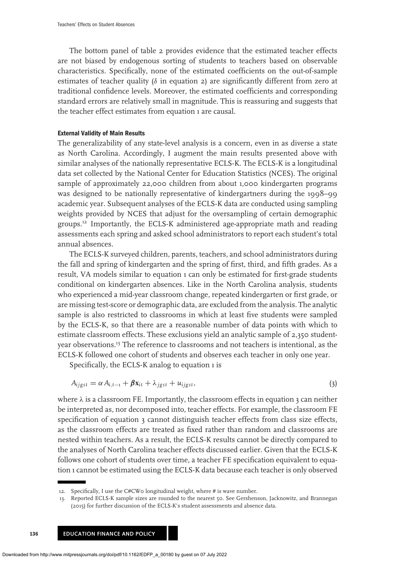The bottom panel of table 2 provides evidence that the estimated teacher effects are not biased by endogenous sorting of students to teachers based on observable characteristics. Specifically, none of the estimated coefficients on the out-of-sample estimates of teacher quality ( $\delta$  in equation 2) are significantly different from zero at traditional confidence levels. Moreover, the estimated coefficients and corresponding standard errors are relatively small in magnitude. This is reassuring and suggests that the teacher effect estimates from equation 1 are causal.

#### **External Validity of Main Results**

The generalizability of any state-level analysis is a concern, even in as diverse a state as North Carolina. Accordingly, I augment the main results presented above with similar analyses of the nationally representative ECLS-K. The ECLS-K is a longitudinal data set collected by the National Center for Education Statistics (NCES). The original sample of approximately 22,000 children from about 1,000 kindergarten programs was designed to be nationally representative of kindergartners during the 1998–99 academic year. Subsequent analyses of the ECLS-K data are conducted using sampling weights provided by NCES that adjust for the oversampling of certain demographic groups.<sup>12</sup> Importantly, the ECLS-K administered age-appropriate math and reading assessments each spring and asked school administrators to report each student's total annual absences.

The ECLS-K surveyed children, parents, teachers, and school administrators during the fall and spring of kindergarten and the spring of first, third, and fifth grades. As a result, VA models similar to equation 1 can only be estimated for first-grade students conditional on kindergarten absences. Like in the North Carolina analysis, students who experienced a mid-year classroom change, repeated kindergarten or first grade, or are missing test-score or demographic data, are excluded from the analysis. The analytic sample is also restricted to classrooms in which at least five students were sampled by the ECLS-K, so that there are a reasonable number of data points with which to estimate classroom effects. These exclusions yield an analytic sample of 2,350 studentyear observations.<sup>1</sup><sup>3</sup> The reference to classrooms and not teachers is intentional, as the ECLS-K followed one cohort of students and observes each teacher in only one year.

Specifically, the ECLS-K analog to equation 1 is

$$
A_{ijgst} = \alpha A_{i,t-1} + \beta x_{it} + \lambda_{jgst} + u_{ijgst}, \qquad (3)
$$

where  $\lambda$  is a classroom FE. Importantly, the classroom effects in equation 3 can neither be interpreted as, nor decomposed into, teacher effects. For example, the classroom FE specification of equation 3 cannot distinguish teacher effects from class size effects, as the classroom effects are treated as fixed rather than random and classrooms are nested within teachers. As a result, the ECLS-K results cannot be directly compared to the analyses of North Carolina teacher effects discussed earlier. Given that the ECLS-K follows one cohort of students over time, a teacher FE specification equivalent to equation 1 cannot be estimated using the ECLS-K data because each teacher is only observed

EDUCATION FINANCE AND POLICY **136**

<sup>12.</sup> Specifically, I use the C#CW0 longitudinal weight, where # is wave number.

<sup>1</sup>3. Reported ECLS-K sample sizes are rounded to the nearest 50. See Gershenson, Jacknowitz, and Brannegan (2015) for further discussion of the ECLS-K's student assessments and absence data.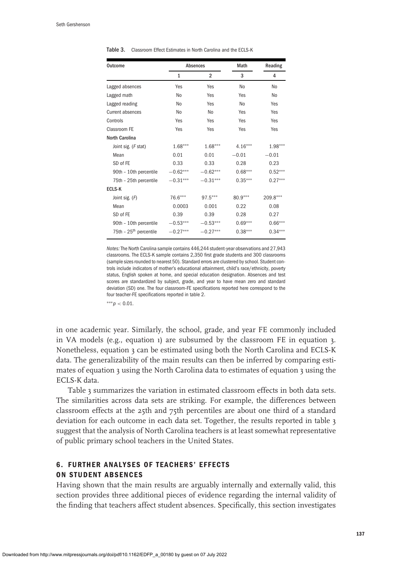| <b>Outcome</b>                     | <b>Absences</b> |                | Math      | Reading   |  |
|------------------------------------|-----------------|----------------|-----------|-----------|--|
|                                    | $\mathbf{1}$    | $\overline{2}$ | 3         | 4         |  |
| Lagged absences                    | Yes             | Yes            | No        | No        |  |
| Lagged math                        | No              | Yes            | Yes       | No        |  |
| Lagged reading                     | No              | Yes            | No        | Yes       |  |
| Current absences                   | No              | No             | Yes       | Yes       |  |
| Controls                           | Yes             | Yes            | Yes       | Yes       |  |
| Classroom FE                       | Yes             | Yes            | Yes       | Yes       |  |
| <b>North Carolina</b>              |                 |                |           |           |  |
| Joint sig. (F stat)                | $1.68***$       | $1.68***$      | $4.16***$ | 1.98***   |  |
| Mean                               | 0.01            | 0.01           | $-0.01$   | $-0.01$   |  |
| SD of FE                           | 0.33            | 0.33           | 0.28      | 0.23      |  |
| 90th - 10th percentile             | $-0.62***$      | $-0.62***$     | $0.68***$ | $0.52***$ |  |
| 75th - 25th percentile             | $-0.31***$      | $-0.31***$     | $0.35***$ | $0.27***$ |  |
| <b>ECLS-K</b>                      |                 |                |           |           |  |
| Joint sig. (F)                     | 76.6***         | $97.5***$      | $80.9***$ | 209.8***  |  |
| Mean                               | 0.0003          | 0.001          | 0.22      | 0.08      |  |
| SD of FE                           | 0.39            | 0.39           | 0.28      | 0.27      |  |
| 90th - 10th percentile             | $-0.53***$      | $-0.53***$     | $0.69***$ | $0.66***$ |  |
| 75th - 25 <sup>th</sup> percentile | $-0.27***$      | $-0.27***$     | $0.38***$ | $0.34***$ |  |

Table 3. Classroom Effect Estimates in North Carolina and the ECLS-K

*Notes:*The North Carolina sample contains 446,244 student-year observations and 27,943 classrooms. The ECLS-K sample contains 2,350 first grade students and 300 classrooms (sample sizes rounded to nearest 50). Standard errors are clustered by school. Student controls include indicators of mother's educational attainment, child's race/ethnicity, poverty status, English spoken at home, and special education designation. Absences and test scores are standardized by subject, grade, and year to have mean zero and standard deviation (SD) one. The four classroom-FE specifications reported here correspond to the four teacher-FE specifications reported in table 2.

∗∗∗*p* < 0.01.

in one academic year. Similarly, the school, grade, and year FE commonly included in VA models (e.g., equation 1) are subsumed by the classroom FE in equation 3. Nonetheless, equation 3 can be estimated using both the North Carolina and ECLS-K data. The generalizability of the main results can then be inferred by comparing estimates of equation 3 using the North Carolina data to estimates of equation 3 using the ECLS-K data.

Table 3 summarizes the variation in estimated classroom effects in both data sets. The similarities across data sets are striking. For example, the differences between classroom effects at the 25th and 75th percentiles are about one third of a standard deviation for each outcome in each data set. Together, the results reported in table 3 suggest that the analysis of North Carolina teachers is at least somewhat representative of public primary school teachers in the United States.

# **6. FURTHER ANALYSES OF TEACHERS' EFFECTS ON STUDENT ABSENCES**

Having shown that the main results are arguably internally and externally valid, this section provides three additional pieces of evidence regarding the internal validity of the finding that teachers affect student absences. Specifically, this section investigates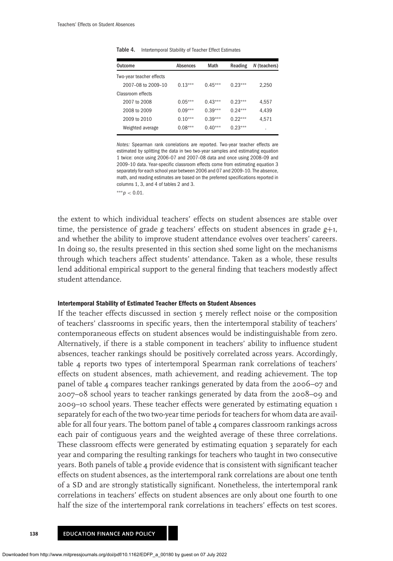| Outcome                  | <b>Absences</b> | Math      | Reading   | N (teachers) |
|--------------------------|-----------------|-----------|-----------|--------------|
| Two-year teacher effects |                 |           |           |              |
| 2007-08 to 2009-10       | $0.13***$       | $0.45***$ | $0.23***$ | 2.250        |
| Classroom effects        |                 |           |           |              |
| 2007 to 2008             | $0.05***$       | $0.43***$ | $0.23***$ | 4,557        |
| 2008 to 2009             | $0.09***$       | $0.39***$ | $0.24***$ | 4,439        |
| 2009 to 2010             | $0.10***$       | $0.39***$ | $0.22***$ | 4.571        |
| Weighted average         | $0.08***$       | $0.40***$ | $0.23***$ | ٠            |

Table 4. Intertemporal Stability of Teacher Effect Estimates

*Notes:* Spearman rank correlations are reported. Two-year teacher effects are estimated by splitting the data in two two-year samples and estimating equation 1 twice: once using 2006–07 and 2007–08 data and once using 2008–09 and 2009–10 data. Year-specific classroom effects come from estimating equation 3 separately for each school year between 2006 and 07 and 2009–10. The absence, math, and reading estimates are based on the preferred specifications reported in columns 1, 3, and 4 of tables 2 and 3.

∗∗∗*p* < 0.01.

the extent to which individual teachers' effects on student absences are stable over time, the persistence of grade *g* teachers' effects on student absences in grade *g*+1, and whether the ability to improve student attendance evolves over teachers' careers. In doing so, the results presented in this section shed some light on the mechanisms through which teachers affect students' attendance. Taken as a whole, these results lend additional empirical support to the general finding that teachers modestly affect student attendance.

### **Intertemporal Stability of Estimated Teacher Effects on Student Absences**

If the teacher effects discussed in section 5 merely reflect noise or the composition of teachers' classrooms in specific years, then the intertemporal stability of teachers' contemporaneous effects on student absences would be indistinguishable from zero. Alternatively, if there is a stable component in teachers' ability to influence student absences, teacher rankings should be positively correlated across years. Accordingly, table 4 reports two types of intertemporal Spearman rank correlations of teachers' effects on student absences, math achievement, and reading achievement. The top panel of table 4 compares teacher rankings generated by data from the 2006–07 and 2007–08 school years to teacher rankings generated by data from the 2008–09 and 2009–10 school years. These teacher effects were generated by estimating equation 1 separately for each of the two two-year time periods for teachers for whom data are available for all four years. The bottom panel of table 4 compares classroom rankings across each pair of contiguous years and the weighted average of these three correlations. These classroom effects were generated by estimating equation 3 separately for each year and comparing the resulting rankings for teachers who taught in two consecutive years. Both panels of table 4 provide evidence that is consistent with significant teacher effects on student absences, as the intertemporal rank correlations are about one tenth of a SD and are strongly statistically significant. Nonetheless, the intertemporal rank correlations in teachers' effects on student absences are only about one fourth to one half the size of the intertemporal rank correlations in teachers' effects on test scores.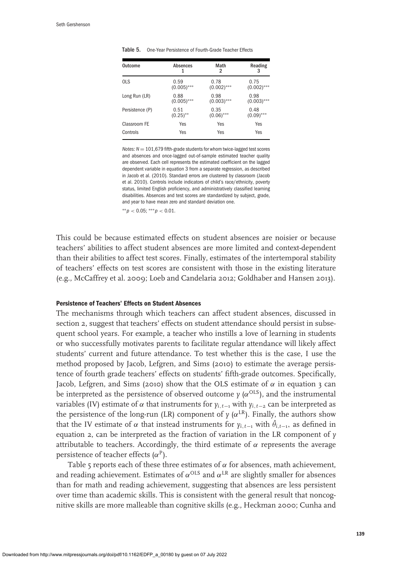| Outcome         | <b>Absences</b> | Math          | Reading       |  |
|-----------------|-----------------|---------------|---------------|--|
|                 | 1               | 2             | 3             |  |
| <b>OLS</b>      | 0.59            | 0.78          | 0.75          |  |
|                 | $(0.005)$ ***   | $(0.002)$ *** | $(0.002)$ *** |  |
| Long Run (LR)   | 0.88            | 0.98          | 0.98          |  |
|                 | $(0.005)$ ***   | $(0.003)$ *** | $(0.003)$ *** |  |
| Persistence (P) | 0.51            | 0.35          | 0.48          |  |
|                 | $(0.25)$ **     | $(0.06)$ ***  | $(0.09)$ ***  |  |
| Classroom FE    | Yes             | Yes           | Yes           |  |
| Controls        | Yes             | Yes           | Yes           |  |

Table 5. One-Year Persistence of Fourth-Grade Teacher Effects

*Notes: N* = 101,679 fifth-grade students for whom twice-lagged test scores and absences and once-lagged out-of-sample estimated teacher quality are observed. Each cell represents the estimated coefficient on the lagged dependent variable in equation 3 from a separate regression, as described in Jacob et al. (2010). Standard errors are clustered by classroom (Jacob et al. 2010). Controls include indicators of child's race/ethnicity, poverty status, limited English proficiency, and administratively classified learning disabilities. Absences and test scores are standardized by subject, grade, and year to have mean zero and standard deviation one.

∗∗*p* < 0.05; ∗∗∗*p* < 0.01.

This could be because estimated effects on student absences are noisier or because teachers' abilities to affect student absences are more limited and context-dependent than their abilities to affect test scores. Finally, estimates of the intertemporal stability of teachers' effects on test scores are consistent with those in the existing literature (e.g., McCaffrey et al. 2009; Loeb and Candelaria 2012; Goldhaber and Hansen 2013).

# **Persistence of Teachers' Effects on Student Absences**

The mechanisms through which teachers can affect student absences, discussed in section 2, suggest that teachers' effects on student attendance should persist in subsequent school years. For example, a teacher who instills a love of learning in students or who successfully motivates parents to facilitate regular attendance will likely affect students' current and future attendance. To test whether this is the case, I use the method proposed by Jacob, Lefgren, and Sims (2010) to estimate the average persistence of fourth grade teachers' effects on students' fifth-grade outcomes. Specifically, Jacob, Lefgren, and Sims (2010) show that the OLS estimate of  $\alpha$  in equation 3 can be interpreted as the persistence of observed outcome  $\gamma$  ( $\alpha$ <sup>OLS</sup>), and the instrumental variables (IV) estimate of  $\alpha$  that instruments for  $y_{i,t-1}$  with  $y_{i,t-2}$  can be interpreted as the persistence of the long-run (LR) component of  $\gamma$  ( $\alpha$ <sup>LR</sup>). Finally, the authors show that the IV estimate of  $\alpha$  that instead instruments for  $\gamma_{i,t-1}$  with  $\hat{\theta}_{i,t-1}$ , as defined in equation 2, can be interpreted as the fraction of variation in the LR component of *y* attributable to teachers. Accordingly, the third estimate of  $\alpha$  represents the average persistence of teacher effects  $(\alpha^P)$ .

Table 5 reports each of these three estimates of  $\alpha$  for absences, math achievement, and reading achievement. Estimates of  $\alpha^{OLS}$  and  $\alpha^{LR}$  are slightly smaller for absences than for math and reading achievement, suggesting that absences are less persistent over time than academic skills. This is consistent with the general result that noncognitive skills are more malleable than cognitive skills (e.g., Heckman 2000; Cunha and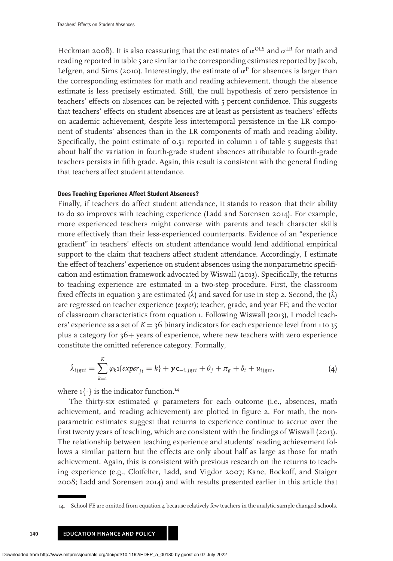Heckman 2008). It is also reassuring that the estimates of  $\alpha$ <sup>OLS</sup> and  $\alpha$ <sup>LR</sup> for math and reading reported in table 5 are similar to the corresponding estimates reported by Jacob, Lefgren, and Sims (2010). Interestingly, the estimate of  $\alpha^P$  for absences is larger than the corresponding estimates for math and reading achievement, though the absence estimate is less precisely estimated. Still, the null hypothesis of zero persistence in teachers' effects on absences can be rejected with 5 percent confidence. This suggests that teachers' effects on student absences are at least as persistent as teachers' effects on academic achievement, despite less intertemporal persistence in the LR component of students' absences than in the LR components of math and reading ability. Specifically, the point estimate of  $\circ$ . $\circ$ 1 reported in column 1 of table  $\circ$  suggests that about half the variation in fourth-grade student absences attributable to fourth-grade teachers persists in fifth grade. Again, this result is consistent with the general finding that teachers affect student attendance.

# **Does Teaching Experience Affect Student Absences?**

Finally, if teachers do affect student attendance, it stands to reason that their ability to do so improves with teaching experience (Ladd and Sorensen 2014). For example, more experienced teachers might converse with parents and teach character skills more effectively than their less-experienced counterparts. Evidence of an "experience gradient" in teachers' effects on student attendance would lend additional empirical support to the claim that teachers affect student attendance. Accordingly, I estimate the effect of teachers' experience on student absences using the nonparametric specification and estimation framework advocated by Wiswall (2013). Specifically, the returns to teaching experience are estimated in a two-step procedure. First, the classroom fixed effects in equation 3 are estimated ( $\hat{\lambda}$ ) and saved for use in step 2. Second, the ( $\hat{\lambda}$ ) are regressed on teacher experience (*exper*); teacher, grade, and year FE; and the vector of classroom characteristics from equation 1. Following Wiswall (2013), I model teachers' experience as a set of  $K = 36$  binary indicators for each experience level from 1 to 35 plus a category for 36+ years of experience, where new teachers with zero experience constitute the omitted reference category. Formally,

$$
\hat{\lambda}_{ijgst} = \sum_{k=1}^{K} \varphi_k \mathbf{1}\{ \exp \epsilon r_{jt} = k \} + \mathbf{\gamma} \mathbf{c}_{-i,jgst} + \theta_j + \pi_g + \delta_t + u_{ijgst}, \tag{4}
$$

where  $1\{\cdot\}$  is the indicator function.<sup>14</sup>

The thirty-six estimated  $\varphi$  parameters for each outcome (i.e., absences, math achievement, and reading achievement) are plotted in figure 2. For math, the nonparametric estimates suggest that returns to experience continue to accrue over the first twenty years of teaching, which are consistent with the findings of Wiswall (2013). The relationship between teaching experience and students' reading achievement follows a similar pattern but the effects are only about half as large as those for math achievement. Again, this is consistent with previous research on the returns to teaching experience (e.g., Clotfelter, Ladd, and Vigdor 2007; Kane, Rockoff, and Staiger 2008; Ladd and Sorensen 2014) and with results presented earlier in this article that

**140**

EDUCATION FINANCE AND POLICY

<sup>1</sup>4. School FE are omitted from equation 4 because relatively few teachers in the analytic sample changed schools.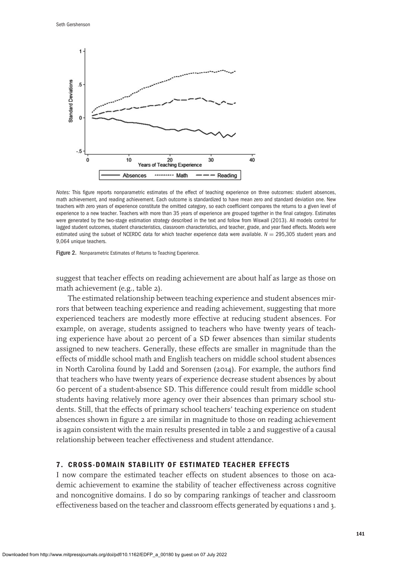

*Notes:* This figure reports nonparametric estimates of the effect of teaching experience on three outcomes: student absences, math achievement, and reading achievement. Each outcome is standardized to have mean zero and standard deviation one. New teachers with zero years of experience constitute the omitted category, so each coefficient compares the returns to a given level of experience to a new teacher. Teachers with more than 35 years of experience are grouped together in the final category. Estimates were generated by the two-stage estimation strategy described in the text and follow from Wiswall (2013). All models control for lagged student outcomes, student characteristics, classroom characteristics, and teacher, grade, and year fixed effects. Models were estimated using the subset of NCERDC data for which teacher experience data were available.  $N = 295,305$  student years and 9,064 unique teachers.

Figure 2. Nonparametric Estimates of Returns to Teaching Experience.

suggest that teacher effects on reading achievement are about half as large as those on math achievement (e.g., table 2).

The estimated relationship between teaching experience and student absences mirrors that between teaching experience and reading achievement, suggesting that more experienced teachers are modestly more effective at reducing student absences. For example, on average, students assigned to teachers who have twenty years of teaching experience have about 20 percent of a SD fewer absences than similar students assigned to new teachers. Generally, these effects are smaller in magnitude than the effects of middle school math and English teachers on middle school student absences in North Carolina found by Ladd and Sorensen (2014). For example, the authors find that teachers who have twenty years of experience decrease student absences by about 60 percent of a student-absence SD. This difference could result from middle school students having relatively more agency over their absences than primary school students. Still, that the effects of primary school teachers' teaching experience on student absences shown in figure 2 are similar in magnitude to those on reading achievement is again consistent with the main results presented in table 2 and suggestive of a causal relationship between teacher effectiveness and student attendance.

# **7. CROSS-DOMAIN STABILITY OF ESTIMATED TEACHER EFFECTS**

I now compare the estimated teacher effects on student absences to those on academic achievement to examine the stability of teacher effectiveness across cognitive and noncognitive domains. I do so by comparing rankings of teacher and classroom effectiveness based on the teacher and classroom effects generated by equations 1 and 3.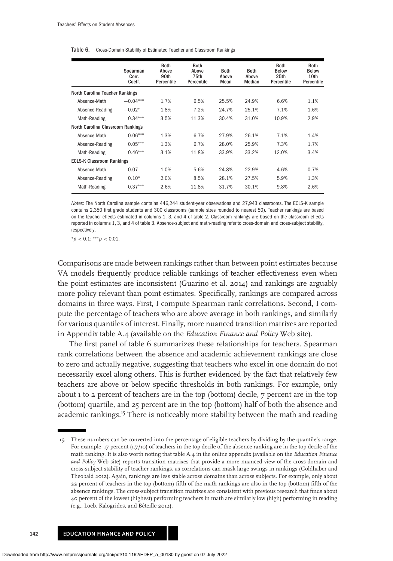|                                   | Spearman<br>Corr.<br>Coeff. | <b>Both</b><br>Above<br>90th<br>Percentile | <b>Both</b><br>Above<br>75th<br>Percentile | <b>Both</b><br>Above<br>Mean | <b>Both</b><br>Above<br>Median | <b>Both</b><br><b>Below</b><br>25th<br>Percentile | <b>Both</b><br><b>Below</b><br>10th<br>Percentile |
|-----------------------------------|-----------------------------|--------------------------------------------|--------------------------------------------|------------------------------|--------------------------------|---------------------------------------------------|---------------------------------------------------|
| North Carolina Teacher Rankings   |                             |                                            |                                            |                              |                                |                                                   |                                                   |
| Absence-Math                      | $-0.04***$                  | 1.7%                                       | 6.5%                                       | 25.5%                        | 24.9%                          | 6.6%                                              | 1.1%                                              |
| Absence-Reading                   | $-0.02*$                    | 1.8%                                       | 7.2%                                       | 24.7%                        | 25.1%                          | 7.1%                                              | 1.6%                                              |
| Math-Reading                      | $0.34***$                   | 3.5%                                       | 11.3%                                      | 30.4%                        | 31.0%                          | 10.9%                                             | 2.9%                                              |
| North Carolina Classroom Rankings |                             |                                            |                                            |                              |                                |                                                   |                                                   |
| Absence-Math                      | $0.06***$                   | 1.3%                                       | 6.7%                                       | 27.9%                        | 26.1%                          | 7.1%                                              | 1.4%                                              |
| Absence-Reading                   | $0.05***$                   | 1.3%                                       | 6.7%                                       | 28.0%                        | 25.9%                          | 7.3%                                              | 1.7%                                              |
| Math-Reading                      | $0.46***$                   | 3.1%                                       | 11.8%                                      | 33.9%                        | 33.2%                          | 12.0%                                             | 3.4%                                              |
| <b>ECLS-K Classroom Rankings</b>  |                             |                                            |                                            |                              |                                |                                                   |                                                   |
| Absence-Math                      | $-0.07$                     | 1.0%                                       | 5.6%                                       | 24.8%                        | 22.9%                          | 4.6%                                              | 0.7%                                              |
| Absence-Reading                   | $0.10*$                     | 2.0%                                       | 8.5%                                       | 28.1%                        | 27.5%                          | 5.9%                                              | 1.3%                                              |
| Math-Reading                      | $0.37***$                   | 2.6%                                       | 11.8%                                      | 31.7%                        | 30.1%                          | 9.8%                                              | 2.6%                                              |

#### Table 6. Cross-Domain Stability of Estimated Teacher and Classroom Rankings

*Notes:* The North Carolina sample contains 446,244 student-year observations and 27,943 classrooms. The ECLS-K sample contains 2,350 first grade students and 300 classrooms (sample sizes rounded to nearest 50). Teacher rankings are based on the teacher effects estimated in columns 1, 3, and 4 of table 2. Classroom rankings are based on the classroom effects reported in columns 1, 3, and 4 of table 3. Absence-subject and math-reading refer to cross-domain and cross-subject stability, respectively.

<sup>∗</sup>*p* < 0.1; ∗∗∗*p* < 0.01.

Comparisons are made between rankings rather than between point estimates because VA models frequently produce reliable rankings of teacher effectiveness even when the point estimates are inconsistent (Guarino et al. 2014) and rankings are arguably more policy relevant than point estimates. Specifically, rankings are compared across domains in three ways. First, I compute Spearman rank correlations. Second, I compute the percentage of teachers who are above average in both rankings, and similarly for various quantiles of interest. Finally, more nuanced transition matrixes are reported in Appendix table A.4 (available on the *Education Finance and Policy* Web site).

The first panel of table 6 summarizes these relationships for teachers. Spearman rank correlations between the absence and academic achievement rankings are close to zero and actually negative, suggesting that teachers who excel in one domain do not necessarily excel along others. This is further evidenced by the fact that relatively few teachers are above or below specific thresholds in both rankings. For example, only about 1 to 2 percent of teachers are in the top (bottom) decile, 7 percent are in the top (bottom) quartile, and 25 percent are in the top (bottom) half of both the absence and academic rankings.<sup>15</sup> There is noticeably more stability between the math and reading

<sup>1</sup>5. These numbers can be converted into the percentage of eligible teachers by dividing by the quantile's range. For example, 17 percent (1.7/10) of teachers in the top decile of the absence ranking are in the top decile of the math ranking. It is also worth noting that table A.4 in the online appendix (available on the *Education Finance and Policy* Web site) reports transition matrixes that provide a more nuanced view of the cross-domain and cross-subject stability of teacher rankings, as correlations can mask large swings in rankings (Goldhaber and Theobald 2012). Again, rankings are less stable across domains than across subjects. For example, only about 22 percent of teachers in the top (bottom) fifth of the math rankings are also in the top (bottom) fifth of the absence rankings. The cross-subject transition matrixes are consistent with previous research that finds about 40 percent of the lowest (highest) performing teachers in math are similarly low (high) performing in reading (e.g., Loeb, Kalogrides, and Béteille 2012).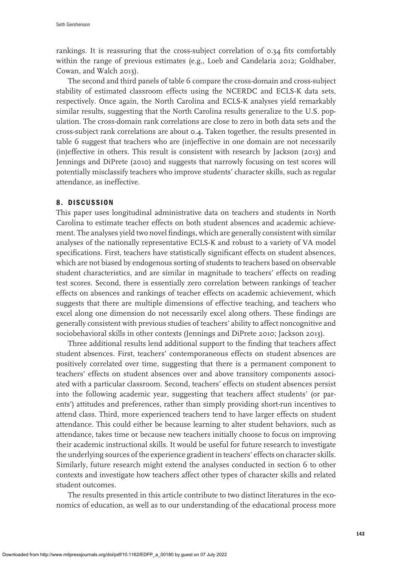rankings. It is reassuring that the cross-subject correlation of 0.34 fits comfortably within the range of previous estimates (e.g., Loeb and Candelaria 2012; Goldhaber, Cowan, and Walch 2013).

The second and third panels of table 6 compare the cross-domain and cross-subject stability of estimated classroom effects using the NCERDC and ECLS-K data sets, respectively. Once again, the North Carolina and ECLS-K analyses yield remarkably similar results, suggesting that the North Carolina results generalize to the U.S. population. The cross-domain rank correlations are close to zero in both data sets and the cross-subject rank correlations are about 0.4. Taken together, the results presented in table 6 suggest that teachers who are (in)effective in one domain are not necessarily (in)effective in others. This result is consistent with research by Jackson (2013) and Jennings and DiPrete (2010) and suggests that narrowly focusing on test scores will potentially misclassify teachers who improve students' character skills, such as regular attendance, as ineffective.

# **8. DISCUSSION**

This paper uses longitudinal administrative data on teachers and students in North Carolina to estimate teacher effects on both student absences and academic achievement. The analyses yield two novel findings, which are generally consistent with similar analyses of the nationally representative ECLS-K and robust to a variety of VA model specifications. First, teachers have statistically significant effects on student absences, which are not biased by endogenous sorting of students to teachers based on observable student characteristics, and are similar in magnitude to teachers' effects on reading test scores. Second, there is essentially zero correlation between rankings of teacher effects on absences and rankings of teacher effects on academic achievement, which suggests that there are multiple dimensions of effective teaching, and teachers who excel along one dimension do not necessarily excel along others. These findings are generally consistent with previous studies of teachers' ability to affect noncognitive and sociobehavioral skills in other contexts (Jennings and DiPrete 2010; Jackson 2013).

Three additional results lend additional support to the finding that teachers affect student absences. First, teachers' contemporaneous effects on student absences are positively correlated over time, suggesting that there is a permanent component to teachers' effects on student absences over and above transitory components associated with a particular classroom. Second, teachers' effects on student absences persist into the following academic year, suggesting that teachers affect students' (or parents') attitudes and preferences, rather than simply providing short-run incentives to attend class. Third, more experienced teachers tend to have larger effects on student attendance. This could either be because learning to alter student behaviors, such as attendance, takes time or because new teachers initially choose to focus on improving their academic instructional skills. It would be useful for future research to investigate the underlying sources of the experience gradient in teachers' effects on character skills. Similarly, future research might extend the analyses conducted in section 6 to other contexts and investigate how teachers affect other types of character skills and related student outcomes.

The results presented in this article contribute to two distinct literatures in the economics of education, as well as to our understanding of the educational process more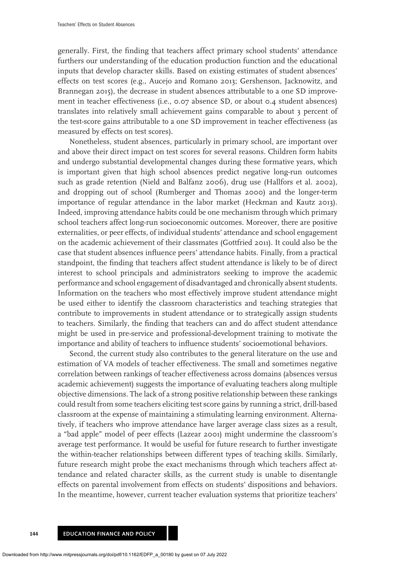generally. First, the finding that teachers affect primary school students' attendance furthers our understanding of the education production function and the educational inputs that develop character skills. Based on existing estimates of student absences' effects on test scores (e.g., Aucejo and Romano 2013; Gershenson, Jacknowitz, and Brannegan 2015), the decrease in student absences attributable to a one SD improvement in teacher effectiveness (i.e., 0.07 absence SD, or about 0.4 student absences) translates into relatively small achievement gains comparable to about 3 percent of the test-score gains attributable to a one SD improvement in teacher effectiveness (as measured by effects on test scores).

Nonetheless, student absences, particularly in primary school, are important over and above their direct impact on test scores for several reasons. Children form habits and undergo substantial developmental changes during these formative years, which is important given that high school absences predict negative long-run outcomes such as grade retention (Nield and Balfanz 2006), drug use (Hallfors et al. 2002), and dropping out of school (Rumberger and Thomas 2000) and the longer-term importance of regular attendance in the labor market (Heckman and Kautz 2013). Indeed, improving attendance habits could be one mechanism through which primary school teachers affect long-run socioeconomic outcomes. Moreover, there are positive externalities, or peer effects, of individual students' attendance and school engagement on the academic achievement of their classmates (Gottfried 2011). It could also be the case that student absences influence peers' attendance habits. Finally, from a practical standpoint, the finding that teachers affect student attendance is likely to be of direct interest to school principals and administrators seeking to improve the academic performance and school engagement of disadvantaged and chronically absent students. Information on the teachers who most effectively improve student attendance might be used either to identify the classroom characteristics and teaching strategies that contribute to improvements in student attendance or to strategically assign students to teachers. Similarly, the finding that teachers can and do affect student attendance might be used in pre-service and professional-development training to motivate the importance and ability of teachers to influence students' socioemotional behaviors.

Second, the current study also contributes to the general literature on the use and estimation of VA models of teacher effectiveness. The small and sometimes negative correlation between rankings of teacher effectiveness across domains (absences versus academic achievement) suggests the importance of evaluating teachers along multiple objective dimensions. The lack of a strong positive relationship between these rankings could result from some teachers eliciting test score gains by running a strict, drill-based classroom at the expense of maintaining a stimulating learning environment. Alternatively, if teachers who improve attendance have larger average class sizes as a result, a "bad apple" model of peer effects (Lazear 2001) might undermine the classroom's average test performance. It would be useful for future research to further investigate the within-teacher relationships between different types of teaching skills. Similarly, future research might probe the exact mechanisms through which teachers affect attendance and related character skills, as the current study is unable to disentangle effects on parental involvement from effects on students' dispositions and behaviors. In the meantime, however, current teacher evaluation systems that prioritize teachers'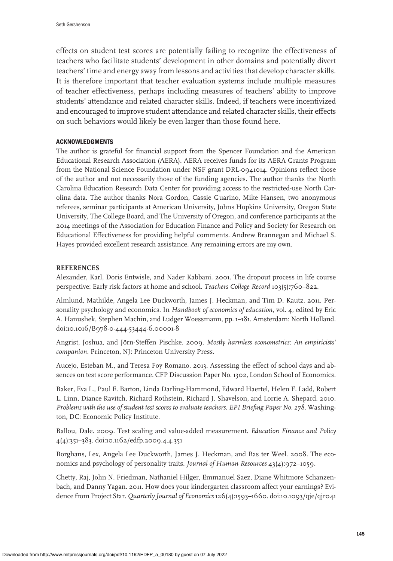effects on student test scores are potentially failing to recognize the effectiveness of teachers who facilitate students' development in other domains and potentially divert teachers' time and energy away from lessons and activities that develop character skills. It is therefore important that teacher evaluation systems include multiple measures of teacher effectiveness, perhaps including measures of teachers' ability to improve students' attendance and related character skills. Indeed, if teachers were incentivized and encouraged to improve student attendance and related character skills, their effects on such behaviors would likely be even larger than those found here.

# **ACKNOWLEDGMENTS**

The author is grateful for financial support from the Spencer Foundation and the American Educational Research Association (AERA). AERA receives funds for its AERA Grants Program from the National Science Foundation under NSF grant DRL-0941014. Opinions reflect those of the author and not necessarily those of the funding agencies. The author thanks the North Carolina Education Research Data Center for providing access to the restricted-use North Carolina data. The author thanks Nora Gordon, Cassie Guarino, Mike Hansen, two anonymous referees, seminar participants at American University, Johns Hopkins University, Oregon State University, The College Board, and The University of Oregon, and conference participants at the 2014 meetings of the Association for Education Finance and Policy and Society for Research on Educational Effectiveness for providing helpful comments. Andrew Brannegan and Michael S. Hayes provided excellent research assistance. Any remaining errors are my own.

# **REFERENCES**

Alexander, Karl, Doris Entwisle, and Nader Kabbani. 2001. The dropout process in life course perspective: Early risk factors at home and school. *Teachers College Record* 103(5):760–822.

Almlund, Mathilde, Angela Lee Duckworth, James J. Heckman, and Tim D. Kautz. 2011. Personality psychology and economics. In *Handbook of economics of education*, vol. 4, edited by Eric A. Hanushek, Stephen Machin, and Ludger Woessmann, pp. 1–181. Amsterdam: North Holland. doi:10.101[6/B978-0-444-53444-6.0000](http://dx.doi.org/10.1016/B978-0-444-53444-6.00001-8)1-8

Angrist, Joshua, and Jörn-Steffen Pischke. 2009. Mostly harmless econometrics: An empiricists' *companion*. Princeton, NJ: Princeton University Press.

Aucejo, Esteban M., and Teresa Foy Romano. 2013. Assessing the effect of school days and absences on test score performance. CFP Discussion Paper No. 1302, London School of Economics.

Baker, Eva L., Paul E. Barton, Linda Darling-Hammond, Edward Haertel, Helen F. Ladd, Robert L. Linn, Diance Ravitch, Richard Rothstein, Richard J. Shavelson, and Lorrie A. Shepard. 2010. *Problems with the use of student test scores to evaluate teachers. EPI Briefing Paper No. 278.* Washington, DC: Economic Policy Institute.

Ballou, Dale. 2009. Test scaling and value-added measurement. *Education Finance and Policy* 4(4):351–383. doi:10.11[62/edfp.2009.4.4.35](http://dx.doi.org/10.1162/edfp.2009.4.4.351)1

Borghans, Lex, Angela Lee Duckworth, James J. Heckman, and Bas ter Weel. 2008. The economics and psychology of personality traits. *Journal of Human Resources* 43(4):972–1059.

Chetty, Raj, John N. Friedman, Nathaniel Hilger, Emmanuel Saez, Diane Whitmore Schanzenbach, and Danny Yagan. 2011. How does your kindergarten classroom affect your earnings? Evidence from Project Star. *Quarterly Journal of Economics* 126(4):1593–1660. doi:10.1[093/qje/qjr04](http://dx.doi.org/10.1093/qje/qjr041)1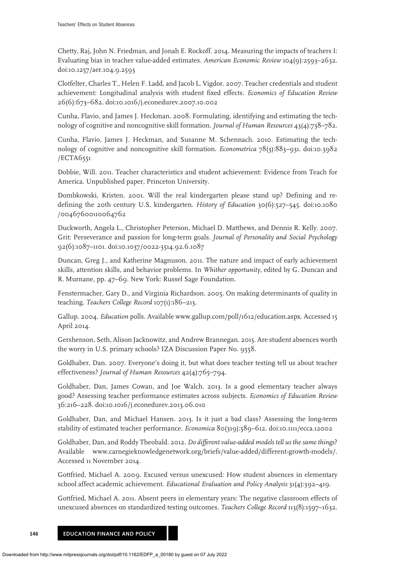Chetty, Raj, John N. Friedman, and Jonah E. Rockoff. 2014. Measuring the impacts of teachers I: Evaluating bias in teacher value-added estimates. *American Economic Review* 104(9):2593–2632. doi:10.1257/aer.1[04.9.2593](http://dx.doi.org/10.1257/aer.104.9.2593)

Clotfelter, Charles T., Helen F. Ladd, and Jacob L. Vigdor. 2007. Teacher credentials and student achievement: Longitudinal analysis with student fixed effects. *Economics of Education Review* 26(6):673–682. doi:10.101[6/j.econedurev.2007.](http://dx.doi.org/10.1016/j.econedurev.2007.10.002)10.002

Cunha, Flavio, and James J. Heckman. 2008. Formulating, identifying and estimating the technology of cognitive and noncognitive skill formation. *Journal of Human Resources* 43(4):738–782.

Cunha, Flavio, James J. Heckman, and Susanne M. Schennach. 2010. Estimating the technology of cognitive and noncognitive skill formation. *Econometrica* 78(3):883–931. doi:10.3982 /ECTA6551

Dobbie, Will. 2011. Teacher characteristics and student achievement: Evidence from Teach for America. Unpublished paper, Princeton University.

Dombkowski, Kristen. 2001. Will the real kindergarten please stand up? Defining and redefining the 20th century U.S. kindergarten. *History of Education* 30(6):527–545. doi:10.1080 /00467600110064762

Duckworth, Angela L., Christopher Peterson, Michael D. Matthews, and Dennis R. Kelly. 2007. Grit: Perseverance and passion for long-term goals. *Journal of Personality and Social Psychology* 92(6):1087–1101. doi:10.1[037/0022-35](http://dx.doi.org/10.1037/0022-3514.92.6.1087)14.92.6.1087

Duncan, Greg J., and Katherine Magnuson. 2011. The nature and impact of early achievement skills, attention skills, and behavior problems. In *Whither opportunity*, edited by G. Duncan and R. Murnane, pp. 47–69. New York: Russel Sage Foundation.

Fenstermacher, Gary D., and Virginia Richardson. 2005. On making determinants of quality in teaching. *Teachers College Record* 107(1):186–213.

Gallup. 2004. *Education* polls. Available [www.gallup.com/poll/](http://www.gallup.com/poll/1612/education.aspx)1612/education.aspx. Accessed 15 April 2014.

Gershenson, Seth, Alison Jacknowitz, and Andrew Brannegan. 2015. Are student absences worth the worry in U.S. primary schools? IZA Discussion Paper No. 9558.

Goldhaber, Dan. 2007. Everyone's doing it, but what does teacher testing tell us about teacher effectiveness? *Journal of Human Resources* 42(4):765–794.

Goldhaber, Dan, James Cowan, and Joe Walch. 2013. Is a good elementary teacher always good? Assessing teacher performance estimates across subjects. *Economics of Education Review* 36:216–228. doi:10.101[6/j.econedurev.20](http://dx.doi.org/10.1016/j.econedurev.2013.06.010)13.06.010

Goldhaber, Dan, and Michael Hansen. 2013. Is it just a bad class? Assessing the long-term stability of estimated teacher performance. *Economica* 80(319):589–612. doi:10.1111[/ecca.](http://dx.doi.org/10.1111/ecca.12002)12002

Goldhaber, Dan, and Roddy Theobald. 2012. *Do different value-added models tell us the same things*? Available [www.carnegieknowledgenetwork.org/briefs/value-added/different-growth-models/.](http://www.carnegieknowledgenetwork.org/briefs/value-added/different-growth-models/) Accessed 11 November 2014.

Gottfried, Michael A. 2009. Excused versus unexcused: How student absences in elementary school affect academic achievement. *Educational Evaluation and Policy Analysis* 31(4):392–419.

Gottfried, Michael A. 2011. Absent peers in elementary years: The negative classroom effects of unexcused absences on standardized testing outcomes. *Teachers College Record* 113(8):1597–1632.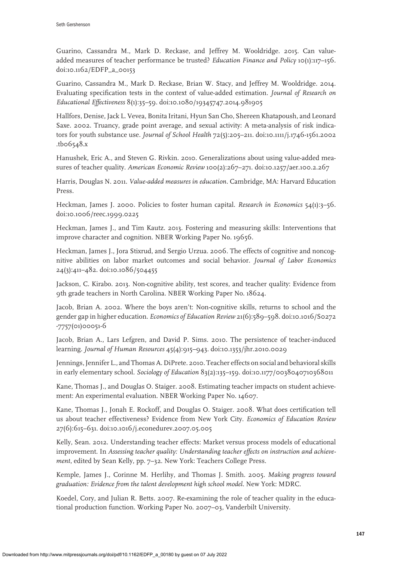Guarino, Cassandra M., Mark D. Reckase, and Jeffrey M. Wooldridge. 2015. Can valueadded measures of teacher performance be trusted? *Education Finance and Policy* 10(1):117–156. doi:10.11[62/EDFP\\_a\\_00](http://dx.doi.org/10.1162/EDFP_a_00153)153

Guarino, Cassandra M., Mark D. Reckase, Brian W. Stacy, and Jeffrey M. Wooldridge. 2014. Evaluating specification tests in the context of value-added estimation. *Journal of Research on Educational Effectiveness* 8(1):35–59. doi:10.1080/1[9345747.20](http://dx.doi.org/10.1080/19345747.2014.981905)14.981905

Hallfors, Denise, Jack L. Vevea, Bonita Iritani, Hyun San Cho, Shereen Khatapoush, and Leonard Saxe. 2002. Truancy, grade point average, and sexual activity: A meta-analysis of risk indicators for youth substance use. *Journal of School Health* 72(5):205–211. doi:10.1111/j.1746-1561.2002 .tb06548.x

Hanushek, Eric A., and Steven G. Rivkin. 2010. Generalizations about using value-added measures of teacher quality. *American Economic Review* 100(2):267–271. doi:10.1257/aer.1[00.2.267](http://dx.doi.org/10.1257/aer.100.2.267)

Harris, Douglas N. 2011. *Value-added measures in education*. Cambridge, MA: Harvard Education Press.

Heckman, James J. 2000. Policies to foster human capital. *Research in Economics* 54(1):3-56. doi:10.1[006/reec.](http://dx.doi.org/10.1006/reec.1999.0225)1999.0225

Heckman, James J., and Tim Kautz. 2013. Fostering and measuring skills: Interventions that improve character and cognition. NBER Working Paper No. 19656.

Heckman, James J., Jora Stixrud, and Sergio Urzua. 2006. The effects of cognitive and noncognitive abilities on labor market outcomes and social behavior. *Journal of Labor Economics* 24(3):411–482. doi:10.1[086/504455](http://dx.doi.org/10.1086/504455)

Jackson, C. Kirabo. 2013. Non-cognitive ability, test scores, and teacher quality: Evidence from 9th grade teachers in North Carolina. NBER Working Paper No. 18624.

Jacob, Brian A. 2002. Where the boys aren't: Non-cognitive skills, returns to school and the gender gap in higher education. *Economics of Education Review* 21(6):589–598. doi:10.1016/S0272 -7757(01)00051-6

Jacob, Brian A., Lars Lefgren, and David P. Sims. 2010. The persistence of teacher-induced learning. *Journal of Human Resources* 45(4):915–943. doi:10.1[353/jhr.20](http://dx.doi.org/10.1353/jhr.2010.0029)10.0029

Jennings, Jennifer L., and Thomas A. DiPrete. 2010. Teacher effects on social and behavioral skills in early elementary school. *Sociology of Education* 83(2):135–159. doi:10.11[77/00380407](http://dx.doi.org/10.1177/0038040710368011)10368011

Kane, Thomas J., and Douglas O. Staiger. 2008. Estimating teacher impacts on student achievement: An experimental evaluation. NBER Working Paper No. 14607.

Kane, Thomas J., Jonah E. Rockoff, and Douglas O. Staiger. 2008. What does certification tell us about teacher effectiveness? Evidence from New York City. *Economics of Education Review* 27(6):615–631. doi:10.101[6/j.econedurev.2007.05.005](http://dx.doi.org/10.1016/j.econedurev.2007.05.005)

Kelly, Sean. 2012. Understanding teacher effects: Market versus process models of educational improvement. In *Assessing teacher quality: Understanding teacher effects on instruction and achievement*, edited by Sean Kelly, pp. 7–32. New York: Teachers College Press.

Kemple, James J., Corinne M. Herlihy, and Thomas J. Smith. 2005. *Making progress toward graduation: Evidence from the talent development high school model.* New York: MDRC.

Koedel, Cory, and Julian R. Betts. 2007. Re-examining the role of teacher quality in the educational production function. Working Paper No. 2007–03, Vanderbilt University.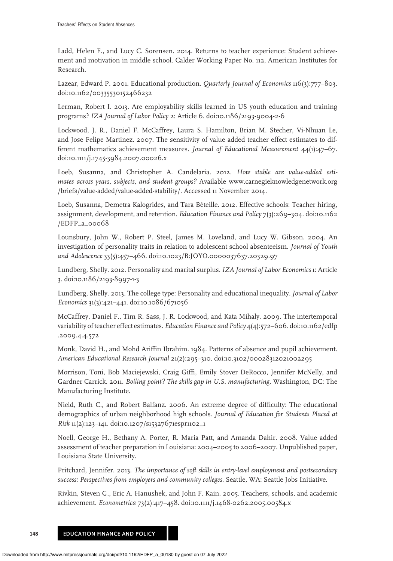Ladd, Helen F., and Lucy C. Sorensen. 2014. Returns to teacher experience: Student achievement and motivation in middle school. Calder Working Paper No. 112, American Institutes for Research.

Lazear, Edward P. 2001. Educational production. *Quarterly Journal of Economics* 116(3):777–803. doi:10.11[62/00335530](http://dx.doi.org/10.1162/00335530152466232)152466232

Lerman, Robert I. 2013. Are employability skills learned in US youth education and training programs? *IZA Journal of Labor Policy* 2: Article 6. doi:10.1186/21[93-9004-2-6](http://dx.doi.org/10.1186/2193-9004-2-6)

Lockwood, J. R., Daniel F. McCaffrey, Laura S. Hamilton, Brian M. Stecher, Vi-Nhuan Le, and Jose Felipe Martinez. 2007. The sensitivity of value added teacher effect estimates to different mathematics achievement measures. *Journal of Educational Measurement* 44(1):47–67. doi:10.1111/j.1[745-3984.2007.00026.x](http://dx.doi.org/10.1111/j.1745-3984.2007.00026.x)

Loeb, Susanna, and Christopher A. Candelaria. 2012. *How stable are value-added estimates across years, subjects, and student groups?* Available www.carnegieknowledgenetwork.org /briefs/value-added/value-added-stability/. Accessed 11 November 2014.

Loeb, Susanna, Demetra Kalogrides, and Tara Béteille. 2012. Effective schools: Teacher hiring, assignment, development, and retention. *Education Finance and Policy* 7(3):269–304. doi:10.1162 /EDFP\_a\_00068

Lounsbury, John W., Robert P. Steel, James M. Loveland, and Lucy W. Gibson. 2004. An investigation of personality traits in relation to adolescent school absenteeism. *Journal of Youth and Adolescence* 33(5):457–466. doi:10.1[023/B:JOYO.0000037637.20329.97](http://dx.doi.org/10.1023/B:JOYO.0000037637.20329.97)

Lundberg, Shelly. 2012. Personality and marital surplus. *IZA Journal of Labor Economics* 1: Article 3. doi:10.1186/21[93-8997-](http://dx.doi.org/10.1186/2193-8997-1-3)1-3

Lundberg, Shelly. 2013. The college type: Personality and educational inequality. *Journal of Labor Economics* 31(3):421–441. doi:10.1[086/67](http://dx.doi.org/10.1086/671056)1056

McCaffrey, Daniel F., Tim R. Sass, J. R. Lockwood, and Kata Mihaly. 2009. The intertemporal variability of teacher effect estimates. *Education Finance and Policy* 4(4):572–606. doi:10.1162/edfp .2009.4.4.572

Monk, David H., and Mohd Ariffin Ibrahim. 1984. Patterns of absence and pupil achievement. *American Educational Research Journal* 21(2):295–310. doi:10.31[02/000283](http://dx.doi.org/10.3102/00028312021002295)12021002295

Morrison, Toni, Bob Maciejewski, Craig Giffi, Emily Stover DeRocco, Jennifer McNelly, and Gardner Carrick. 2011. *Boiling point? The skills gap in U.S. manufacturing.* Washington, DC: The Manufacturing Institute.

Nield, Ruth C., and Robert Balfanz. 2006. An extreme degree of difficulty: The educational demographics of urban neighborhood high schools. *Journal of Education for Students Placed at Risk* 11(2):123–141. doi:10.1207/s1[532767](http://dx.doi.org/10.1207/s15327671espr1102_1)1espr1102\_1

Noell, George H., Bethany A. Porter, R. Maria Patt, and Amanda Dahir. 2008. Value added assessment of teacher preparation in Louisiana: 2004–2005 to 2006–2007. Unpublished paper, Louisiana State University.

Pritchard, Jennifer. 2013. *The importance of soft skills in entry-level employment and postsecondary success: Perspectives from employers and community colleges*. Seattle, WA: Seattle Jobs Initiative.

Rivkin, Steven G., Eric A. Hanushek, and John F. Kain. 2005. Teachers, schools, and academic achievement. *Econometrica* 73(2):417–458. doi:10.1111/j.1[468-0262.2005.00584.x](http://dx.doi.org/10.1111/j.1468-0262.2005.00584.x)

**EDUCATION FINANCE AND POLICY 148**